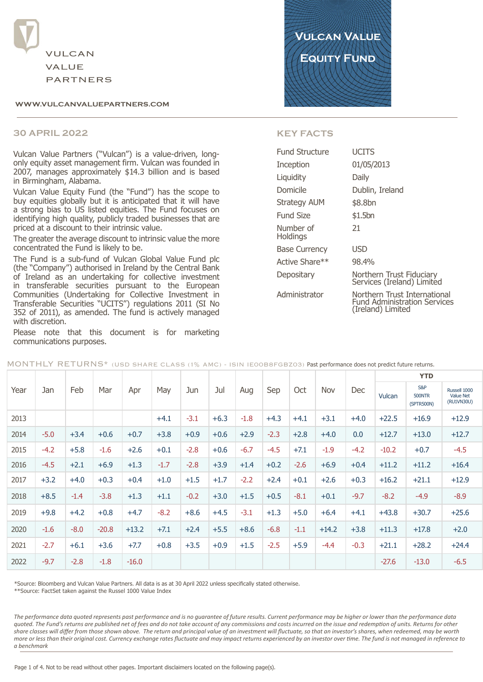

#### WWW.VULCANVALUEPARTNERS.COM

#### **30 APRIL 2022**

Vulcan Value Partners ("Vulcan") is a value-driven, longonly equity asset management firm. Vulcan was founded in 2007, manages approximately \$14.3 billion and is based in Birmingham, Alabama.

Vulcan Value Equity Fund (the "Fund") has the scope to buy equities globally but it is anticipated that it will have a strong bias to US listed equities. The Fund focuses on identifying high quality, publicly traded businesses that are priced at a discount to their intrinsic value.

The greater the average discount to intrinsic value the more concentrated the Fund is likely to be.

The Fund is a sub-fund of Vulcan Global Value Fund plc (the "Company") authorised in Ireland by the Central Bank<br>of Ireland as an undertaking for collective investment in transferable securities pursuant to the European Communities (Undertaking for Collective Investment in Transferable Securities "UCITS") regulations 2011 (SI No 352 of 2011), as amended. The fund is actively managed with discretion.

Please note that this document is for marketing communications purposes.



#### **KEY FACTS**

| Fund Structure        | <b>UCITS</b>                                                                             |
|-----------------------|------------------------------------------------------------------------------------------|
| Inception             | 01/05/2013                                                                               |
| Liquidity             | Daily                                                                                    |
| Domicile              | Dublin, Ireland                                                                          |
| Strategy AUM          | \$8.8bn                                                                                  |
| Fund Size             | \$1.5bn                                                                                  |
| Number of<br>Holdings | 21                                                                                       |
| <b>Base Currency</b>  | <b>USD</b>                                                                               |
| Active Share**        | 98.4%                                                                                    |
| Depositary            | Northern Trust Fiduciary<br>Services (Ireland) Limited                                   |
| Administrator         | Northern Trust International<br><b>Fund Administration Services</b><br>(Ireland) Limited |

|      |        |        |         |         |        |        |        |        |        |        |         |        |         | <b>YTD</b>                         |                                                |
|------|--------|--------|---------|---------|--------|--------|--------|--------|--------|--------|---------|--------|---------|------------------------------------|------------------------------------------------|
| Year | Jan    | Feb    | Mar     | Apr     | May    | Jun    | Jul    | Aug    | Sep    | Oct    | Nov     | Dec    | Vulcan  | S&P<br><b>500NTR</b><br>(SPTR500N) | Russell 1000<br><b>Value Net</b><br>(RU1VN30U) |
| 2013 |        |        |         |         | $+4.1$ | $-3.1$ | $+6.3$ | $-1.8$ | $+4.3$ | $+4.1$ | $+3.1$  | $+4.0$ | $+22.5$ | $+16.9$                            | $+12.9$                                        |
| 2014 | $-5.0$ | $+3.4$ | $+0.6$  | $+0.7$  | $+3.8$ | $+0.9$ | $+0.6$ | $+2.9$ | $-2.3$ | $+2.8$ | $+4.0$  | 0.0    | $+12.7$ | $+13.0$                            | $+12.7$                                        |
| 2015 | $-4.2$ | $+5.8$ | $-1.6$  | $+2.6$  | $+0.1$ | $-2.8$ | $+0.6$ | $-6.7$ | $-4.5$ | $+7.1$ | $-1.9$  | $-4.2$ | $-10.2$ | $+0.7$                             | $-4.5$                                         |
| 2016 | $-4.5$ | $+2.1$ | $+6.9$  | $+1.3$  | $-1.7$ | $-2.8$ | $+3.9$ | $+1.4$ | $+0.2$ | $-2.6$ | $+6.9$  | $+0.4$ | $+11.2$ | $+11.2$                            | $+16.4$                                        |
| 2017 | $+3.2$ | $+4.0$ | $+0.3$  | $+0.4$  | $+1.0$ | $+1.5$ | $+1.7$ | $-2.2$ | $+2.4$ | $+0.1$ | $+2.6$  | $+0.3$ | $+16.2$ | $+21.1$                            | $+12.9$                                        |
| 2018 | $+8.5$ | $-1.4$ | $-3.8$  | $+1.3$  | $+1.1$ | $-0.2$ | $+3.0$ | $+1.5$ | $+0.5$ | $-8.1$ | $+0.1$  | $-9.7$ | $-8.2$  | $-4.9$                             | $-8.9$                                         |
| 2019 | $+9.8$ | $+4.2$ | $+0.8$  | $+4.7$  | $-8.2$ | $+8.6$ | $+4.5$ | $-3.1$ | $+1.3$ | $+5.0$ | $+6.4$  | $+4.1$ | $+43.8$ | $+30.7$                            | $+25.6$                                        |
| 2020 | $-1.6$ | $-8.0$ | $-20.8$ | $+13.2$ | $+7.1$ | $+2.4$ | $+5.5$ | $+8.6$ | $-6.8$ | $-1.1$ | $+14.2$ | $+3.8$ | $+11.3$ | $+17.8$                            | $+2.0$                                         |
| 2021 | $-2.7$ | $+6.1$ | $+3.6$  | $+7.7$  | $+0.8$ | $+3.5$ | $+0.9$ | $+1.5$ | $-2.5$ | $+5.9$ | $-4.4$  | $-0.3$ | $+21.1$ | $+28.2$                            | $+24.4$                                        |
| 2022 | $-9.7$ | $-2.8$ | $-1.8$  | $-16.0$ |        |        |        |        |        |        |         |        | $-27.6$ | $-13.0$                            | $-6.5$                                         |

MONTHLY RETURNS\* (USD SHARE CLASS (1% AMC) - ISIN IEOOB8FGBZO3) Past performance does not predict future returns.

\*Source: Bloomberg and Vulcan Value Partners. All data is as at 30 April 2022 unless specifically stated otherwise.

\*\*Source: FactSet taken against the Russel 1000 Value Index

The performance data auoted represents past performance and is no augrantee of future results. Current performance may be higher or lower than the performance data quoted. The Fund's returns are published net of fees and do not take account of any commissions and costs incurred on the issue and redemption of units. Returns for other share classes will differ from those shown above. The return and principal value of an investment will fluctuate, so that an investor's shares, when redeemed, may be worth more or less than their original cost. Currency exchange rates fluctuate and may impact returns experienced by an investor over time. The fund is not managed in reference to  $\alpha$  henchmark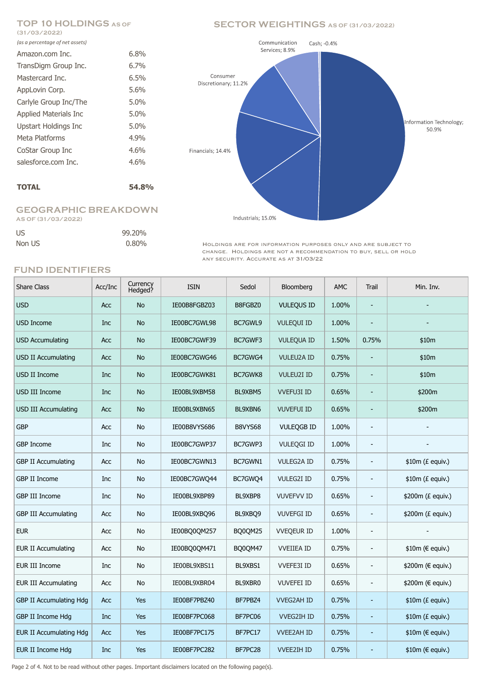# **(31/03/2022)**

| (as a percentage of net assets) |         |
|---------------------------------|---------|
| Amazon.com Inc.                 | 6.8%    |
| TransDigm Group Inc.            | $6.7\%$ |
| Mastercard Inc.                 | 6.5%    |
| AppLovin Corp.                  | 5.6%    |
| Carlyle Group Inc/The           | 5.0%    |
| <b>Applied Materials Inc</b>    | 5.0%    |
| Upstart Holdings Inc            | 5.0%    |
| Meta Platforms                  | 4.9%    |
| CoStar Group Inc                | 4.6%    |
| salesforce.com Inc.             | 4.6%    |
|                                 |         |

### **TOTAL 54.8%**

#### **GEOGRAPHIC BREAKDOWN AS OF (31/03/2022)**

| US     | 99.20%   |
|--------|----------|
| Non US | $0.80\%$ |

## **TOP 10 HOLDINGS AS OF SECTOR WEIGHTINGS AS OF (31/03/2022)**



HOLDINGS ARE FOR INFORMATION PURPOSES ONLY AND ARE SUBJECT TO change. Holdings are not a recommendation to buy, sell or hold any security. Accurate as at 31/03/22

### **FUND IDENTIFIERS**

| <b>Share Class</b>             | Acc/Inc    | Currency<br>Hedged? | <b>ISIN</b>  | Sedol   | Bloomberg         | <b>AMC</b> | Trail                    | Min. Inv.              |
|--------------------------------|------------|---------------------|--------------|---------|-------------------|------------|--------------------------|------------------------|
| <b>USD</b>                     | Acc        | <b>No</b>           | IE00B8FGBZ03 | B8FGBZ0 | <b>VULEQUS ID</b> | 1.00%      |                          |                        |
| <b>USD Income</b>              | Inc        | <b>No</b>           | IE00BC7GWL98 | BC7GWL9 | <b>VULEQUI ID</b> | 1.00%      |                          |                        |
| <b>USD Accumulating</b>        | Acc        | <b>No</b>           | IE00BC7GWF39 | BC7GWF3 | <b>VULEQUA ID</b> | 1.50%      | 0.75%                    | \$10m                  |
| <b>USD II Accumulating</b>     | Acc        | No                  | IE00BC7GWG46 | BC7GWG4 | <b>VULEU2A ID</b> | 0.75%      |                          | \$10m                  |
| USD II Income                  | Inc        | <b>No</b>           | IE00BC7GWK81 | BC7GWK8 | <b>VULEU2I ID</b> | 0.75%      | $\overline{\phantom{a}}$ | \$10m                  |
| USD III Income                 | Inc        | <b>No</b>           | IE00BL9XBM58 | BL9XBM5 | <b>VVEFU3I ID</b> | 0.65%      |                          | \$200m                 |
| <b>USD III Accumulating</b>    | Acc        | No                  | IE00BL9XBN65 | BL9XBN6 | <b>VUVEFUI ID</b> | 0.65%      |                          | \$200m                 |
| <b>GBP</b>                     | <b>Acc</b> | <b>No</b>           | IE00B8VYS686 | B8VYS68 | <b>VULEQGB ID</b> | 1.00%      | $\overline{\phantom{a}}$ |                        |
| <b>GBP Income</b>              | Inc        | No                  | IE00BC7GWP37 | BC7GWP3 | <b>VULEQGI ID</b> | 1.00%      | $\overline{\phantom{a}}$ |                        |
| <b>GBP II Accumulating</b>     | Acc        | No                  | IE00BC7GWN13 | BC7GWN1 | <b>VULEG2A ID</b> | 0.75%      | $\overline{\phantom{a}}$ | $$10m (E$ equiv.)      |
| GBP II Income                  | Inc        | <b>No</b>           | IE00BC7GWQ44 | BC7GWQ4 | <b>VULEG2I ID</b> | 0.75%      | $\overline{\phantom{a}}$ | $$10m (E$ equiv.)      |
| <b>GBP III Income</b>          | Inc        | No                  | IE00BL9XBP89 | BL9XBP8 | <b>VUVEFVV ID</b> | 0.65%      | $\blacksquare$           | \$200m (£ equiv.)      |
| <b>GBP III Accumulating</b>    | Acc        | <b>No</b>           | IE00BL9XBQ96 | BL9XBQ9 | <b>VUVEFGI ID</b> | 0.65%      | $\overline{\phantom{a}}$ | \$200m (£ equiv.)      |
| <b>EUR</b>                     | Acc        | No                  | IE00BQ0QM257 | BQ0QM25 | <b>VVEQEUR ID</b> | 1.00%      | $\overline{\phantom{a}}$ |                        |
| <b>EUR II Accumulating</b>     | Acc        | No                  | IE00BQ0QM471 | BQ0QM47 | <b>VVEIIEA ID</b> | 0.75%      | $\overline{\phantom{a}}$ | $$10m$ ( $\in$ equiv.) |
| <b>EUR III Income</b>          | Inc        | No                  | IE00BL9XBS11 | BL9XBS1 | VVEFE3I ID        | 0.65%      | $\overline{\phantom{a}}$ | \$200m (€ equiv.)      |
| <b>EUR III Accumulating</b>    | Acc        | No                  | IE00BL9XBR04 | BL9XBR0 | <b>VUVEFEI ID</b> | 0.65%      | $\overline{\phantom{a}}$ | \$200m (€ equiv.)      |
| <b>GBP II Accumulating Hdg</b> | <b>Acc</b> | Yes                 | IE00BF7PBZ40 | BF7PBZ4 | <b>VVEG2AH ID</b> | 0.75%      | $\blacksquare$           | $$10m (E$ equiv.)      |
| GBP II Income Hdg              | Inc        | Yes                 | IE00BF7PC068 | BF7PC06 | <b>VVEG2IH ID</b> | 0.75%      | ÷,                       | $$10m (E$ equiv.)      |
| <b>EUR II Accumulating Hdg</b> | Acc        | Yes                 | IE00BF7PC175 | BF7PC17 | <b>VVEE2AH ID</b> | 0.75%      |                          | \$10m (€ equiv.)       |
| <b>EUR II Income Hdg</b>       | Inc        | <b>Yes</b>          | IE00BF7PC282 | BF7PC28 | <b>VVEE2IH ID</b> | 0.75%      | ٠                        | \$10m (€ equiv.)       |

Page 2 of 4. Not to be read without other pages. Important disclaimers located on the following page(s).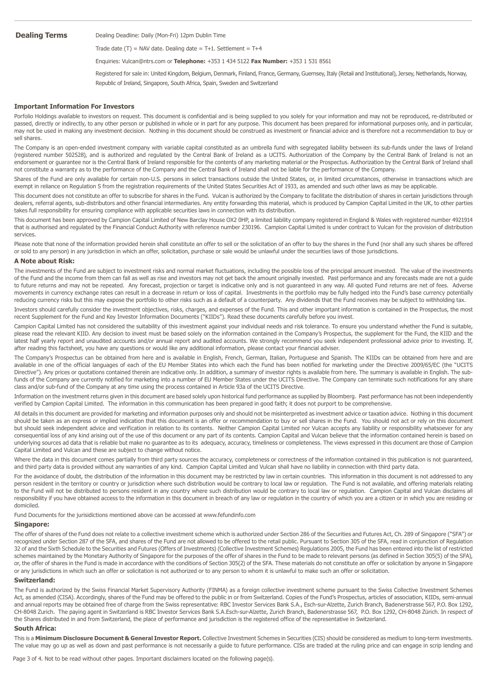**Dealing Terms** Dealing Deadline: Daily (Mon-Fri) 12pm Dublin Time

Trade date  $(T)$  = NAV date. Dealing date = T+1. Settlement = T+4

Enquiries: Vulcan@ntrs.com or **Telephone:** +353 1 434 5122 **Fax Number:** +353 1 531 8561

Registered for sale in: United Kingdom, Belgium, Denmark, Finland, France, Germany, Guernsey, Italy (Retail and Institutional), Jersey, Netherlands, Norway, Republic of Ireland, Singapore, South Africa, Spain, Sweden and Switzerland

#### **Important Information For Investors**

Porfolio Holdings available to investors on request. This document is confidential and is being supplied to you solely for your information and may not be reproduced, re-distributed or passed, directly or indirectly, to any other person or published in whole or in part for any purpose. This document has been prepared for informational purposes only, and in particular, may not be used in making any investment decision. Nothing in this document should be construed as investment or financial advice and is therefore not a recommendation to buy or sell shares.

The Company is an open-ended investment company with variable capital constituted as an umbrella fund with segregated liability between its sub-funds under the laws of Ireland (registered number 502528), and is authorized and regulated by the Central Bank of Ireland as a UCITS. Authorization of the Company by the Central Bank of Ireland is not an endorsement or guarantee nor is the Central Bank of Ireland responsible for the contents of any marketing material or the Prospectus. Authorization by the Central Bank of Ireland shall not constitute a warranty as to the performance of the Company and the Central Bank of Ireland shall not be liable for the performance of the Company.

Shares of the Fund are only available for certain non-U.S. persons in select transactions outside the United States, or, in limited circumstances, otherwise in transactions which are exempt in reliance on Regulation S from the registration requirements of the United States Securities Act of 1933, as amended and such other laws as may be applicable.

This document does not constitute an offer to subscribe for shares in the Fund. Vulcan is authorized by the Company to facilitate the distribution of shares in certain jurisdictions through dealers, referral agents, sub-distributors and other financial intermediaries. Any entity forwarding this material, which is produced by Campion Capital Limited in the UK, to other parties takes full responsibility for ensuring compliance with applicable securities laws in connection with its distribution.

This document has been approved by Campion Capital Limited of New Barclay House OX2 0HP, a limited liability company registered in England & Wales with registered number 4921914 that is authorised and regulated by the Financial Conduct Authority with reference number 230196. Campion Capital Limited is under contract to Vulcan for the provision of distribution services.

Please note that none of the information provided herein shall constitute an offer to sell or the solicitation of an offer to buy the shares in the Fund (nor shall any such shares be offered or sold to any person) in any jurisdiction in which an offer, solicitation, purchase or sale would be unlawful under the securities laws of those jurisdictions.

#### **A Note about Risk:**

The investments of the Fund are subject to investment risks and normal market fluctuations, including the possible loss of the principal amount invested. The value of the investments of the Fund and the income from them can fall as well as rise and investors may not get back the amount originally invested. Past performance and any forecasts made are not a guide to future returns and may not be repeated. Any forecast, projection or target is indicative only and is not guaranteed in any way. All quoted Fund returns are net of fees. Adverse movements in currency exchange rates can result in a decrease in return or loss of capital. Investments in the portfolio may be fully hedged into the Fund's base currency potentially reducing currency risks but this may expose the portfolio to other risks such as a default of a counterparty. Any dividends that the Fund receives may be subject to withholding tax.

Investors should carefully consider the investment objectives, risks, charges, and expenses of the Fund. This and other important information is contained in the Prospectus, the most recent Supplement for the Fund and Key Investor Information Documents ("KIIDs"). Read these documents carefully before you invest.

Campion Capital Limited has not considered the suitability of this investment against your individual needs and risk tolerance. To ensure you understand whether the Fund is suitable, please read the relevant KIID. Any decision to invest must be based solely on the information contained in the Company's Prospectus, the supplement for the Fund, the KIID and the latest half yearly report and unaudited accounts and/or annual report and audited accounts. We strongly recommend you seek independent professional advice prior to investing. If, after reading this factsheet, you have any questions or would like any additional information, please contact your financial adviser.

The Company's Prospectus can be obtained from here and is available in English, French, German, Italian, Portuguese and Spanish. The KIIDs can be obtained from here and are available in one of the official languages of each of the EU Member States into which each the Fund has been notified for marketing under the Directive 2009/65/EC (the "UCITS Directive"). Any prices or quotations contained therein are indicative only. In addition, a summary of investor rights is available from here. The summary is available in English. The subfunds of the Company are currently notified for marketing into a number of EU Member States under the UCITS Directive. The Company can terminate such notifications for any share class and/or sub-fund of the Company at any time using the process contained in Article 93a of the UCITS Directive.

Information on the investment returns given in this document are based solely upon historical fund performance as supplied by Bloomberg. Past performance has not been independently verified by Campion Capital Limited. The information in this communication has been prepared in good faith; it does not purport to be comprehensive.

All details in this document are provided for marketing and information purposes only and should not be misinterpreted as investment advice or taxation advice. Nothing in this document should be taken as an express or implied indication that this document is an offer or recommendation to buy or sell shares in the Fund. You should not act or rely on this document but should seek independent advice and verification in relation to its contents. Neither Campion Capital Limited nor Vulcan accepts any liability or responsibility whatsoever for any consequential loss of any kind arising out of the use of this document or any part of its contents. Campion Capital and Vulcan believe that the information contained herein is based on underlying sources ad data that is reliable but make no guarantee as to its adequacy, accuracy, timeliness or completeness. The views expressed in this document are those of Campion Capital Limited and Vulcan and these are subject to change without notice.

Where the data in this document comes partially from third party sources the accuracy, completeness or correctness of the information contained in this publication is not quaranteed, and third party data is provided without any warranties of any kind. Campion Capital Limited and Vulcan shall have no liability in connection with third party data.

For the avoidance of doubt, the distribution of the information in this document may be restricted by law in certain countries. This information in this document is not addressed to any person resident in the territory or country or jurisdiction where such distribution would be contrary to local law or regulation. The Fund is not available, and offering materials relating to the Fund will not be distributed to persons resident in any country where such distribution would be contrary to local law or regulation. Campion Capital and Vulcan disclaims all responsibility if you have obtained access to the information in this document in breach of any law or regulation in the country of which you are a citizen or in which you are residing or domiciled.

Fund Documents for the jurisidictions mentioned above can be accessed at www.fefundinfo.com

#### **Singapore:**

The offer of shares of the Fund does not relate to a collective investment scheme which is authorized under Section 286 of the Securities and Futures Act, Ch. 289 of Singapore ("SFA") or recognized under Section 287 of the SFA, and shares of the Fund are not allowed to be offered to the retail public. Pursuant to Section 305 of the SFA, read in conjunction of Regulation 32 of and the Sixth Schedule to the Securities and Futures (Offers of Investments) (Collective Investment Schemes) Regulations 2005, the Fund has been entered into the list of restricted schemes maintained by the Monetary Authority of Singapore for the purposes of the offer of shares in the Fund to be made to relevant persons (as defined in Section 305(5) of the SFA), or, the offer of shares in the Fund is made in accordance with the conditions of Section 305(2) of the SFA. These materials do not constitute an offer or solicitation by anyone in Singapore or any jurisdictions in which such an offer or solicitation is not authorized or to any person to whom it is unlawful to make such an offer or solicitation.

#### **Switzerland:**

The Fund is authorized by the Swiss Financial Market Supervisory Authority (FINMA) as a foreign collective investment scheme pursuant to the Swiss Collective Investment Schemes Act, as amended (CISA). Accordingly, shares of the Fund may be offered to the public in or from Switzerland. Copies of the Fund's Prospectus, articles of association, KIIDs, semi-annual and annual reports may be obtained free of charge from the Swiss representative: RBC Investor Services Bank S.A., Esch-sur-Alzette, Zurich Branch, Badenerstrasse 567, P.O. Box 1292, CH-8048 Zurich. The paying agent in Switzerland is RBC Investor Services Bank S.A.Esch-sur-Alzette, Zurich Branch, Badenerstrasse 567, P.O. Box 1292, CH-8048 Zürich. In respect of the Shares distributed in and from Switzerland, the place of performance and jurisdiction is the registered office of the representative in Switzerland.

#### **South Africa:**

This is a **Minimum Disclosure Document & General Investor Report.** Collective Investment Schemes in Securities (CIS) should be considered as medium to long-term investments. The value may go up as well as down and past performance is not necessarily a guide to future performance. CISs are traded at the ruling price and can engage in scrip lending and

Page 3 of 4. Not to be read without other pages. Important disclaimers located on the following page(s).